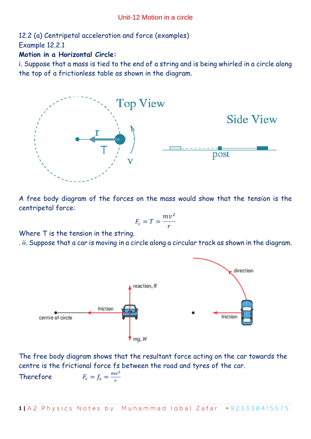12.2 (a) Centripetal acceleration and force (examples) Example 12.2.1

# **Motion in a Horizontal Circle:**

i. Suppose that a mass is tied to the end of a string and is being whirled in a circle along the top of a frictionless table as shown in the diagram.



A free body diagram of the forces on the mass would show that the tension is the centripetal force:

$$
F_c = T = \frac{mv^2}{r}
$$

Where T is the tension in the string.

. ii. Suppose that a car is moving in a circle along a circular track as shown in the diagram.



The free body diagram shows that the resultant force acting on the car towards the centre is the frictional force fs between the road and tyres of the car.

> $mv^2$ r

Therefore 
$$
F_c = f_s =
$$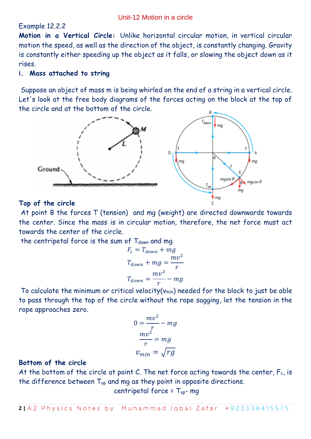# Example 12.2.2

**Motion in a Vertical Circle:** Unlike horizontal circular motion, in vertical circular motion the speed, as well as the direction of the object, is constantly changing. Gravity is constantly either speeding up the object as it falls, or slowing the object down as it rises.

#### **i. Mass attached to string**

Suppose an object of mass m is being whirled on the end of a string in a vertical circle. Let's look at the free body diagrams of the forces acting on the block at the top of the circle and at the bottom of the circle.



#### **Top of the circle**

At point B the forces T (tension) and mg (weight) are directed downwards towards the center. Since the mass is in circular motion, therefore, the net force must act towards the center of the circle.

the centripetal force is the sum of  $T_{down}$  and mg.

$$
F_c = T_{down} + mg
$$

$$
T_{down} + mg = \frac{mv^2}{r}
$$

$$
T_{down} = \frac{mv^2}{r} - mg
$$

To calculate the minimum or critical velocity( $v_{min}$ ) needed for the block to just be able to pass through the top of the circle without the rope sagging, let the tension in the rope approaches zero.

$$
0 = \frac{mv^2}{r} - mg
$$

$$
\frac{mv^2}{r} = mg
$$

$$
v_{min} = \sqrt{rg}
$$

## **Bottom of the circle**

At the bottom of the circle at point C. The net force acting towards the center,  $F_c$ , is the difference between Tup and mg as they point in opposite directions.

centripetal force = Tup- mg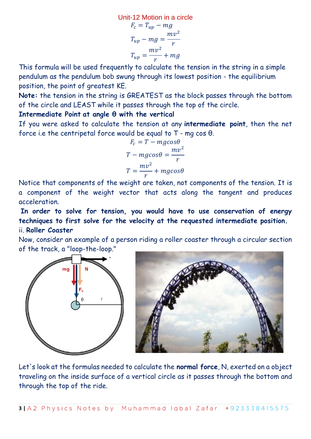Unit-12 Motion in a circle  
\n
$$
F_c = T_{up} - mg
$$
\n
$$
T_{up} - mg = \frac{mv^2}{r}
$$
\n
$$
T_{up} = \frac{mv^2}{r} + mg
$$

This formula will be used frequently to calculate the tension in the string in a simple pendulum as the pendulum bob swung through its lowest position - the equilibrium position, the point of greatest KE.

**Note:** the tension in the string is GREATEST as the block passes through the bottom of the circle and LEAST while it passes through the top of the circle.

#### **Intermediate Point at angle θ with the vertical**

If you were asked to calculate the tension at any **intermediate point**, then the net force i.e the centripetal force would be equal to T - mg cos θ.

$$
F_c = T - mg\cos\theta
$$
  

$$
T - mg\cos\theta = \frac{mv^2}{r}
$$
  

$$
T = \frac{mv^2}{r} + mg\cos\theta
$$

Notice that components of the weight are taken, not components of the tension. It is a component of the weight vector that acts along the tangent and produces acceleration.

**In order to solve for tension, you would have to use conservation of energy techniques to first solve for the velocity at the requested intermediate position.** ii. **Roller Coaster**

Now, consider an example of a person riding a roller coaster through a circular section of the track, a "loop-the-loop."



Let's look at the formulas needed to calculate the **normal force**, N, exerted on a object traveling on the inside surface of a vertical circle as it passes through the bottom and through the top of the ride.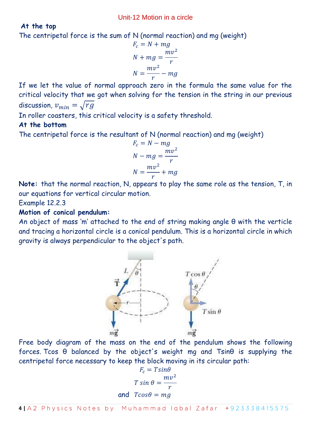# **At the top**

The centripetal force is the sum of N (normal reaction) and mg (weight)

$$
F_c = N + mg
$$

$$
N + mg = \frac{mv^2}{r}
$$

$$
N = \frac{mv^2}{r} - mg
$$

If we let the value of normal approach zero in the formula the same value for the critical velocity that we got when solving for the tension in the string in our previous discussion,  $v_{min} = \sqrt{rg}$ 

In roller coasters, this critical velocity is a safety threshold.

# **At the bottom**

The centripetal force is the resultant of N (normal reaction) and mg (weight)

$$
F_c = N - mg
$$
  

$$
N - mg = \frac{mv^2}{r}
$$
  

$$
N = \frac{mv^2}{r} + mg
$$

**Note:** that the normal reaction, N, appears to play the same role as the tension, T, in our equations for vertical circular motion.

Example 12.2.3

## **Motion of conical pendulum:**

An object of mass 'm' attached to the end of string making angle θ with the verticle and tracing a horizontal circle is a conical pendulum. This is a horizontal circle in which gravity is always perpendicular to the object's path.



Free body diagram of the mass on the end of the pendulum shows the following forces. Tcos θ balanced by the object's weight mg and Tsinθ is supplying the centripetal force necessary to keep the block moving in its circular path:

$$
F_c = T \sin \theta
$$
  

$$
T \sin \theta = \frac{mv^2}{r}
$$
  
and 
$$
T \cos \theta = mg
$$